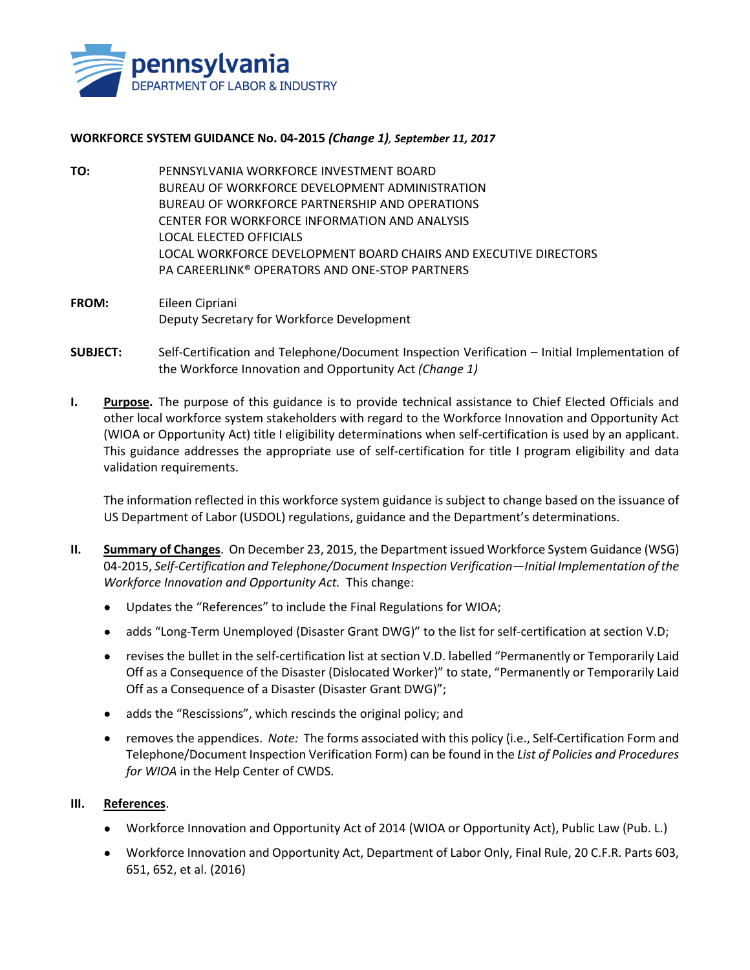

## **WORKFORCE SYSTEM GUIDANCE No. 04-2015** *(Change 1), September 11, 2017*

- **TO:** PENNSYLVANIA WORKFORCE INVESTMENT BOARD BUREAU OF WORKFORCE DEVELOPMENT ADMINISTRATION BUREAU OF WORKFORCE PARTNERSHIP AND OPERATIONS CENTER FOR WORKFORCE INFORMATION AND ANALYSIS LOCAL ELECTED OFFICIALS LOCAL WORKFORCE DEVELOPMENT BOARD CHAIRS AND EXECUTIVE DIRECTORS PA CAREERLINK® OPERATORS AND ONE-STOP PARTNERS
- **FROM:** Eileen Cipriani Deputy Secretary for Workforce Development
- **SUBJECT:** Self-Certification and Telephone/Document Inspection Verification Initial Implementation of the Workforce Innovation and Opportunity Act *(Change 1)*
- **I. Purpose.** The purpose of this guidance is to provide technical assistance to Chief Elected Officials and other local workforce system stakeholders with regard to the Workforce Innovation and Opportunity Act (WIOA or Opportunity Act) title I eligibility determinations when self-certification is used by an applicant. This guidance addresses the appropriate use of self-certification for title I program eligibility and data validation requirements.

The information reflected in this workforce system guidance is subject to change based on the issuance of US Department of Labor (USDOL) regulations, guidance and the Department's determinations.

- **II. Summary of Changes**. On December 23, 2015, the Department issued Workforce System Guidance (WSG) 04-2015, *Self-Certification and Telephone/Document Inspection Verification—Initial Implementation of the Workforce Innovation and Opportunity Act.* This change:
	- Updates the "References" to include the Final Regulations for WIOA;
	- adds "Long-Term Unemployed (Disaster Grant DWG)" to the list for self-certification at section V.D;
	- revises the bullet in the self-certification list at section V.D. labelled "Permanently or Temporarily Laid Off as a Consequence of the Disaster (Dislocated Worker)" to state, "Permanently or Temporarily Laid Off as a Consequence of a Disaster (Disaster Grant DWG)";
	- adds the "Rescissions", which rescinds the original policy; and
	- removes the appendices. *Note:* The forms associated with this policy (i.e., Self-Certification Form and Telephone/Document Inspection Verification Form) can be found in the *List of Policies and Procedures for WIOA* in the Help Center of CWDS.

## **III. References**.

- Workforce Innovation and Opportunity Act of 2014 (WIOA or Opportunity Act), Public Law (Pub. L.)
- Workforce Innovation and Opportunity Act, Department of Labor Only, Final Rule, 20 C.F.R. Parts 603, 651, 652, et al. (2016)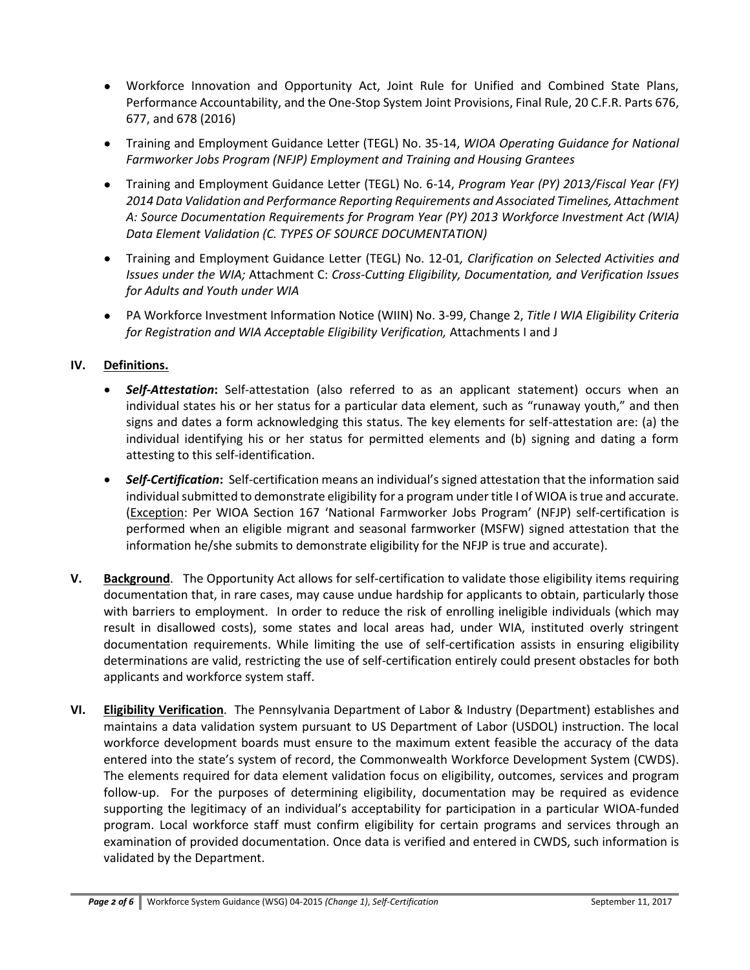- Workforce Innovation and Opportunity Act, Joint Rule for Unified and Combined State Plans, Performance Accountability, and the One-Stop System Joint Provisions, Final Rule, 20 C.F.R. Parts 676, 677, and 678 (2016)
- Training and Employment Guidance Letter (TEGL) No. 35-14, *WIOA Operating Guidance for National Farmworker Jobs Program (NFJP) Employment and Training and Housing Grantees*
- Training and Employment Guidance Letter (TEGL) No. 6-14, *Program Year (PY) 2013/Fiscal Year (FY) 2014 Data Validation and Performance Reporting Requirements and Associated Timelines, Attachment A: Source Documentation Requirements for Program Year (PY) 2013 Workforce Investment Act (WIA) Data Element Validation (C. TYPES OF SOURCE DOCUMENTATION)*
- Training and Employment Guidance Letter (TEGL) No. 12-01*, Clarification on Selected Activities and Issues under the WIA;* Attachment C: *Cross-Cutting Eligibility, Documentation, and Verification Issues for Adults and Youth under WIA*
- PA Workforce Investment Information Notice (WIIN) No. 3-99, Change 2, *Title I WIA Eligibility Criteria for Registration and WIA Acceptable Eligibility Verification,* Attachments I and J

## **IV. Definitions.**

- *Self-Attestation***:** Self-attestation (also referred to as an applicant statement) occurs when an individual states his or her status for a particular data element, such as "runaway youth," and then signs and dates a form acknowledging this status. The key elements for self-attestation are: (a) the individual identifying his or her status for permitted elements and (b) signing and dating a form attesting to this self-identification.
- *Self-Certification***:** Self-certification means an individual's signed attestation that the information said individual submitted to demonstrate eligibility for a program under title I of WIOA is true and accurate. (Exception: Per WIOA Section 167 'National Farmworker Jobs Program' (NFJP) self-certification is performed when an eligible migrant and seasonal farmworker (MSFW) signed attestation that the information he/she submits to demonstrate eligibility for the NFJP is true and accurate).
- **V. Background**. The Opportunity Act allows for self-certification to validate those eligibility items requiring documentation that, in rare cases, may cause undue hardship for applicants to obtain, particularly those with barriers to employment. In order to reduce the risk of enrolling ineligible individuals (which may result in disallowed costs), some states and local areas had, under WIA, instituted overly stringent documentation requirements. While limiting the use of self-certification assists in ensuring eligibility determinations are valid, restricting the use of self-certification entirely could present obstacles for both applicants and workforce system staff.
- **VI. Eligibility Verification**. The Pennsylvania Department of Labor & Industry (Department) establishes and maintains a data validation system pursuant to US Department of Labor (USDOL) instruction. The local workforce development boards must ensure to the maximum extent feasible the accuracy of the data entered into the state's system of record, the Commonwealth Workforce Development System (CWDS). The elements required for data element validation focus on eligibility, outcomes, services and program follow-up. For the purposes of determining eligibility, documentation may be required as evidence supporting the legitimacy of an individual's acceptability for participation in a particular WIOA-funded program. Local workforce staff must confirm eligibility for certain programs and services through an examination of provided documentation. Once data is verified and entered in CWDS, such information is validated by the Department.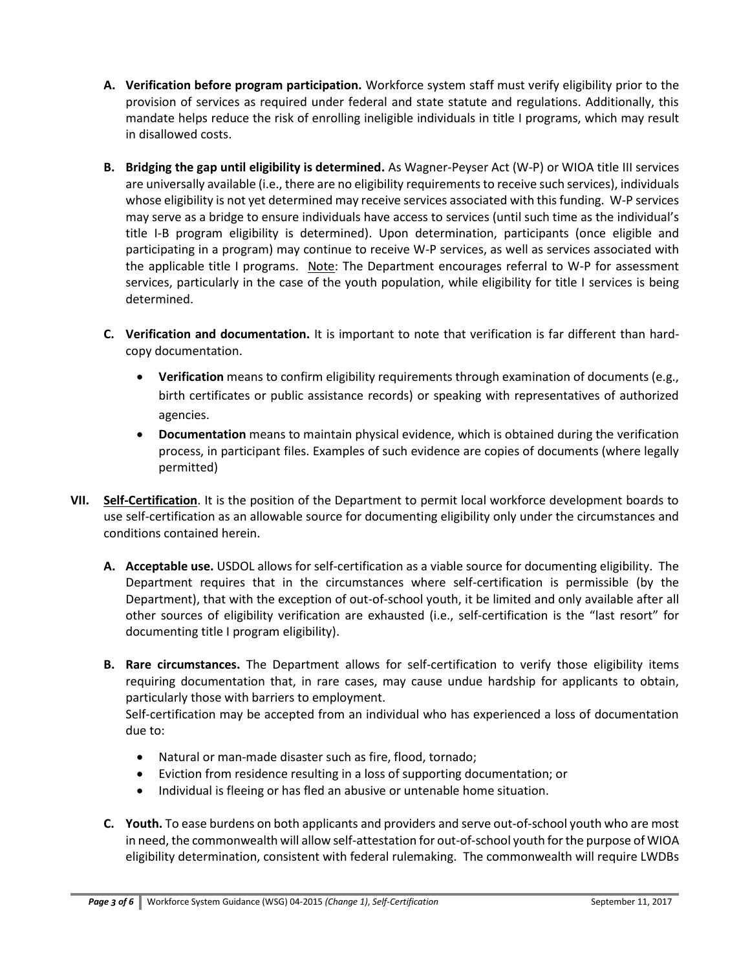- **A. Verification before program participation.** Workforce system staff must verify eligibility prior to the provision of services as required under federal and state statute and regulations. Additionally, this mandate helps reduce the risk of enrolling ineligible individuals in title I programs, which may result in disallowed costs.
- **B. Bridging the gap until eligibility is determined.** As Wagner-Peyser Act (W-P) or WIOA title III services are universally available (i.e., there are no eligibility requirements to receive such services), individuals whose eligibility is not yet determined may receive services associated with this funding. W-P services may serve as a bridge to ensure individuals have access to services (until such time as the individual's title I-B program eligibility is determined). Upon determination, participants (once eligible and participating in a program) may continue to receive W-P services, as well as services associated with the applicable title I programs. Note: The Department encourages referral to W-P for assessment services, particularly in the case of the youth population, while eligibility for title I services is being determined.
- **C. Verification and documentation.** It is important to note that verification is far different than hardcopy documentation.
	- **Verification** means to confirm eligibility requirements through examination of documents (e.g., birth certificates or public assistance records) or speaking with representatives of authorized agencies.
	- **Documentation** means to maintain physical evidence, which is obtained during the verification process, in participant files. Examples of such evidence are copies of documents (where legally permitted)
- **VII. Self-Certification**. It is the position of the Department to permit local workforce development boards to use self-certification as an allowable source for documenting eligibility only under the circumstances and conditions contained herein.
	- **A. Acceptable use.** USDOL allows for self-certification as a viable source for documenting eligibility. The Department requires that in the circumstances where self-certification is permissible (by the Department), that with the exception of out-of-school youth, it be limited and only available after all other sources of eligibility verification are exhausted (i.e., self-certification is the "last resort" for documenting title I program eligibility).
	- **B. Rare circumstances.** The Department allows for self-certification to verify those eligibility items requiring documentation that, in rare cases, may cause undue hardship for applicants to obtain, particularly those with barriers to employment.

Self-certification may be accepted from an individual who has experienced a loss of documentation due to:

- Natural or man-made disaster such as fire, flood, tornado;
- Eviction from residence resulting in a loss of supporting documentation; or
- Individual is fleeing or has fled an abusive or untenable home situation.
- **C. Youth.** To ease burdens on both applicants and providers and serve out-of-school youth who are most in need, the commonwealth will allow self-attestation for out-of-school youth for the purpose of WIOA eligibility determination, consistent with federal rulemaking. The commonwealth will require LWDBs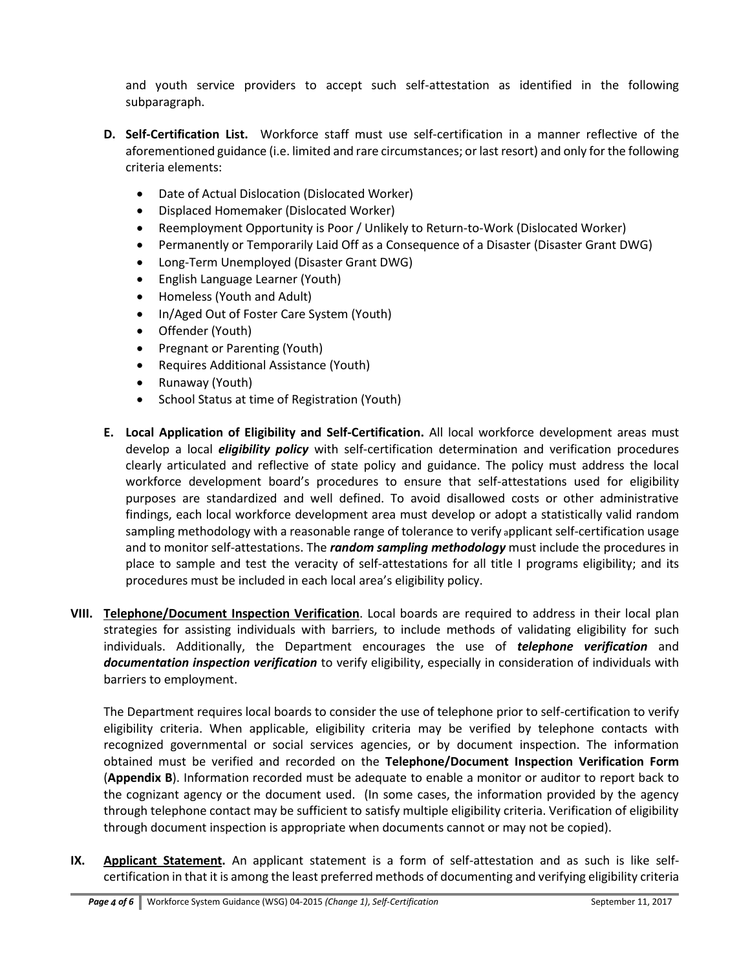and youth service providers to accept such self-attestation as identified in the following subparagraph.

- **D. Self-Certification List.** Workforce staff must use self-certification in a manner reflective of the aforementioned guidance (i.e. limited and rare circumstances; or last resort) and only for the following criteria elements:
	- Date of Actual Dislocation (Dislocated Worker)
	- Displaced Homemaker (Dislocated Worker)
	- Reemployment Opportunity is Poor / Unlikely to Return-to-Work (Dislocated Worker)
	- Permanently or Temporarily Laid Off as a Consequence of a Disaster (Disaster Grant DWG)
	- Long-Term Unemployed (Disaster Grant DWG)
	- English Language Learner (Youth)
	- Homeless (Youth and Adult)
	- In/Aged Out of Foster Care System (Youth)
	- Offender (Youth)
	- Pregnant or Parenting (Youth)
	- Requires Additional Assistance (Youth)
	- Runaway (Youth)
	- School Status at time of Registration (Youth)
- **E. Local Application of Eligibility and Self-Certification.** All local workforce development areas must develop a local *eligibility policy* with self-certification determination and verification procedures clearly articulated and reflective of state policy and guidance. The policy must address the local workforce development board's procedures to ensure that self-attestations used for eligibility purposes are standardized and well defined. To avoid disallowed costs or other administrative findings, each local workforce development area must develop or adopt a statistically valid random sampling methodology with a reasonable range of tolerance to verify applicant self-certification usage and to monitor self-attestations. The *random sampling methodology* must include the procedures in place to sample and test the veracity of self-attestations for all title I programs eligibility; and its procedures must be included in each local area's eligibility policy.
- **VIII. Telephone/Document Inspection Verification**. Local boards are required to address in their local plan strategies for assisting individuals with barriers, to include methods of validating eligibility for such individuals. Additionally, the Department encourages the use of *telephone verification* and *documentation inspection verification* to verify eligibility, especially in consideration of individuals with barriers to employment.

The Department requires local boards to consider the use of telephone prior to self-certification to verify eligibility criteria. When applicable, eligibility criteria may be verified by telephone contacts with recognized governmental or social services agencies, or by document inspection. The information obtained must be verified and recorded on the **Telephone/Document Inspection Verification Form** (**Appendix B**). Information recorded must be adequate to enable a monitor or auditor to report back to the cognizant agency or the document used. (In some cases, the information provided by the agency through telephone contact may be sufficient to satisfy multiple eligibility criteria. Verification of eligibility through document inspection is appropriate when documents cannot or may not be copied).

**IX. Applicant Statement.** An applicant statement is a form of self-attestation and as such is like selfcertification in that it is among the least preferred methods of documenting and verifying eligibility criteria